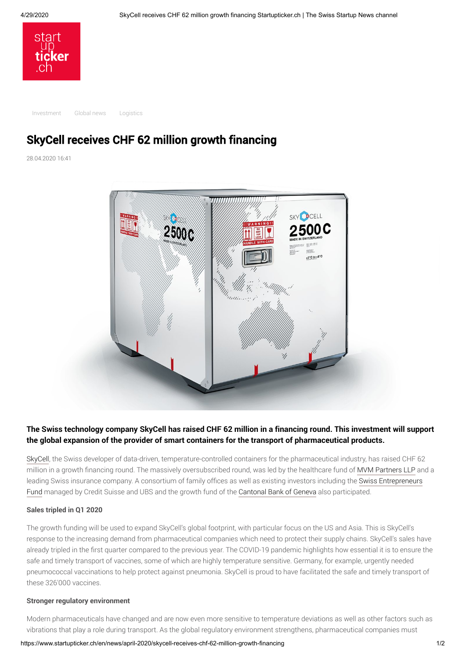

[Investment](https://www.startupticker.ch/en/topics?tag=Investment&show_one_tag=1) [Global news](https://www.startupticker.ch/en/topics?tag=Global+news&show_one_tag=1) [Logistics](https://www.startupticker.ch/en/topics?tag=Logistics&show_one_tag=1)

# SkyCell receives CHF 62 million growth financing

28.04.2020 16:41



# **The Swiss technology company SkyCell has raised CHF 62 million in a financing round. This investment will support the global expansion of the provider of smart containers for the transport of pharmaceutical products.**

[SkyCell,](https://www.skycell.ch/) the Swiss developer of data-driven, temperature-controlled containers for the pharmaceutical industry, has raised CHF 62 million in a growth financing round. The massively oversubscribed round, was led by the healthcare fund of [MVM Partners LLP](http://www.mvm.com/) and a [leading Swiss insurance company. A consortium of family offices as well as existing investors including the Swiss Entrepreneurs](https://swissef.ch/fund/) Fund managed by Credit Suisse and UBS and the growth fund of the [Cantonal Bank of Geneva](https://www.bcge.ch/index.php?lang=en) also participated.

### **Sales tripled in Q1 2020**

The growth funding will be used to expand SkyCell's global footprint, with particular focus on the US and Asia. This is SkyCell's response to the increasing demand from pharmaceutical companies which need to protect their supply chains. SkyCell's sales have already tripled in the first quarter compared to the previous year. The COVID-19 pandemic highlights how essential it is to ensure the safe and timely transport of vaccines, some of which are highly temperature sensitive. Germany, for example, urgently needed pneumococcal vaccinations to help protect against pneumonia. SkyCell is proud to have facilitated the safe and timely transport of these 326'000 vaccines.

### **Stronger regulatory environment**

Modern pharmaceuticals have changed and are now even more sensitive to temperature deviations as well as other factors such as vibrations that play a role during transport. As the global regulatory environment strengthens, pharmaceutical companies must